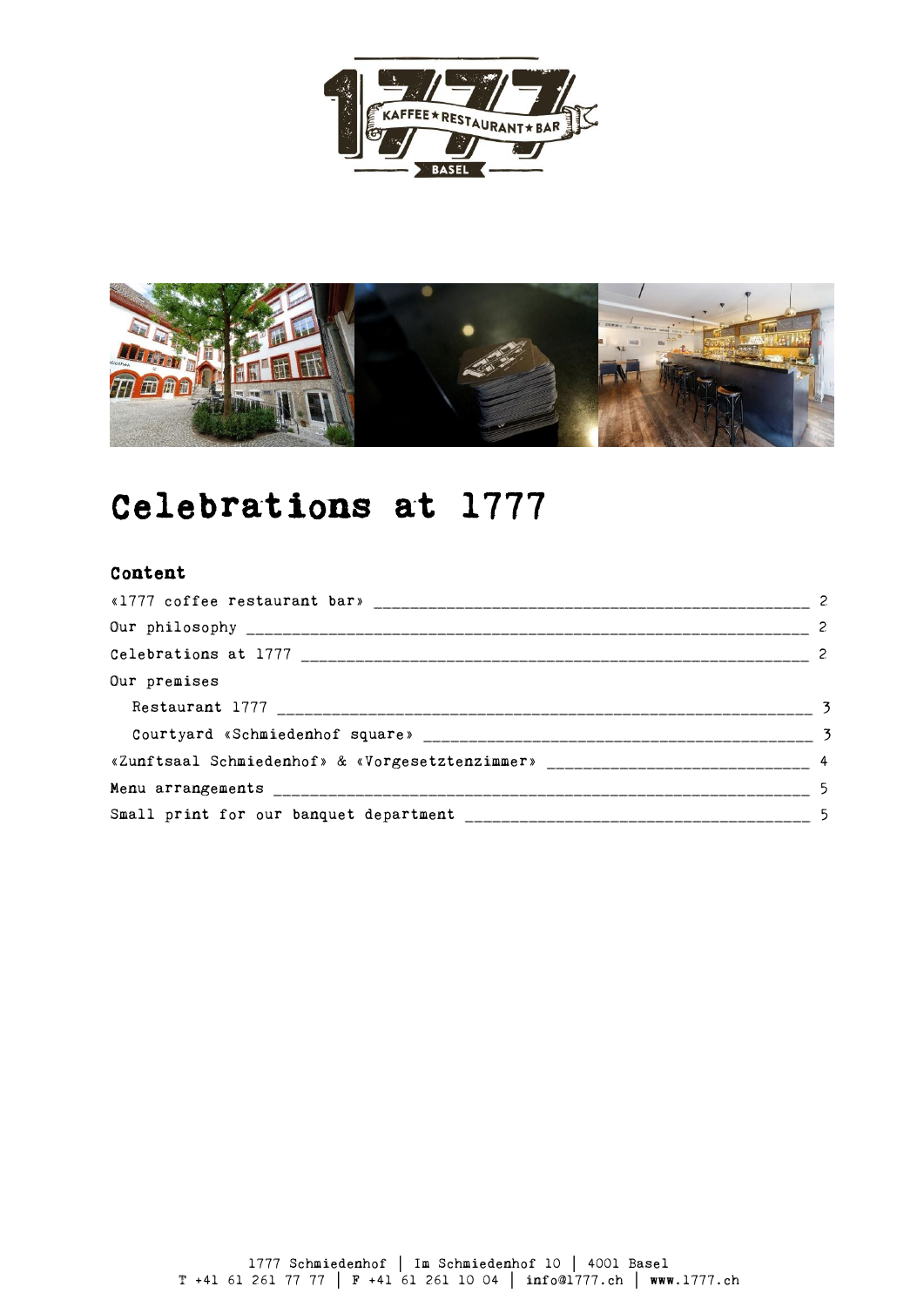



# Celebrations at 1777

## Content

| Our premises                                                                      |  |
|-----------------------------------------------------------------------------------|--|
|                                                                                   |  |
|                                                                                   |  |
| «Zunftsaal Schmiedenhof» & «Vorgesetztenzimmer» _______________________________ 4 |  |
|                                                                                   |  |
|                                                                                   |  |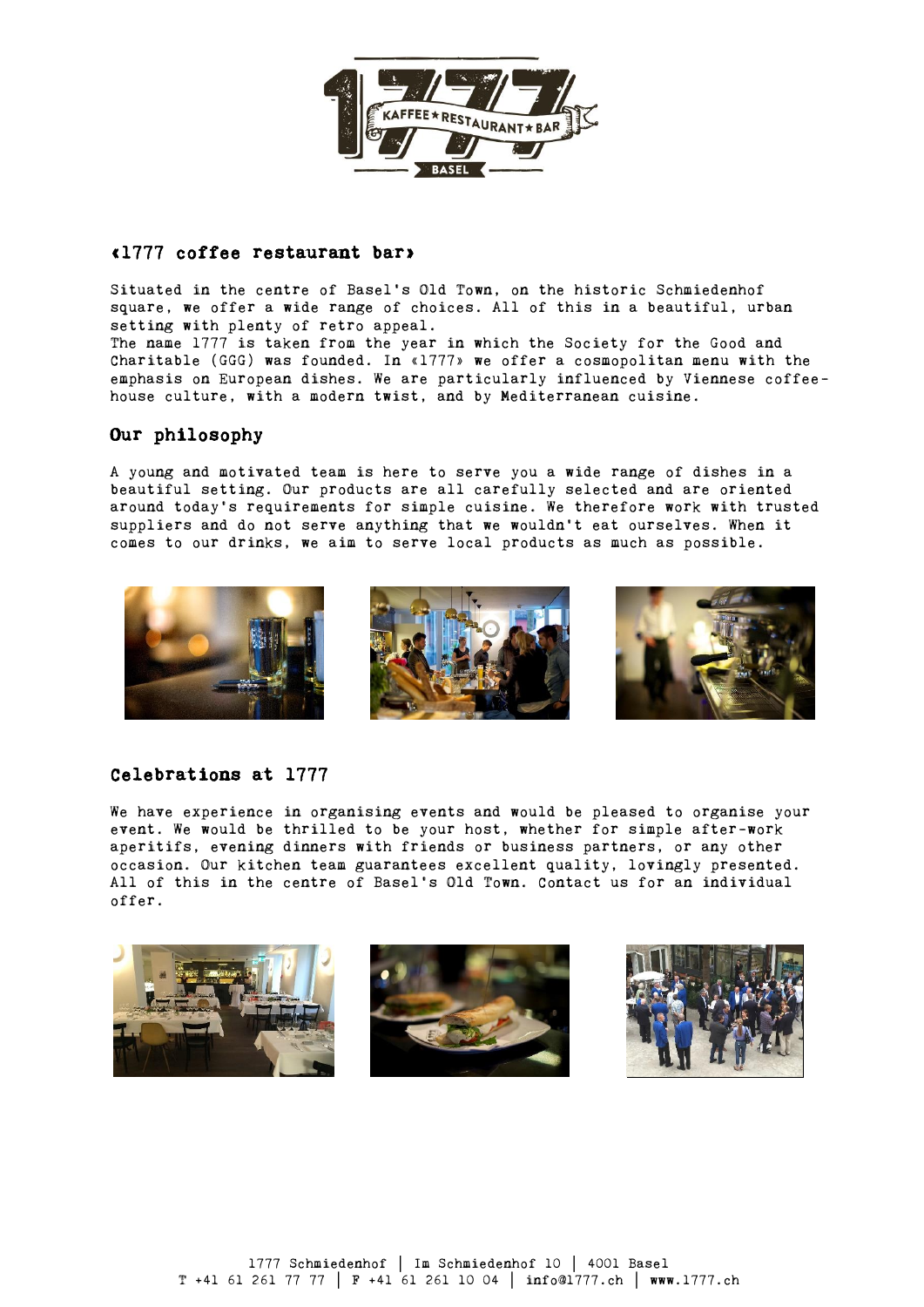

## «1777 coffee restaurant bar»

Situated in the centre of Basel's Old Town, on the historic Schmiedenhof square, we offer a wide range of choices. All of this in a beautiful, urban setting with plenty of retro appeal. The name 1777 is taken from the year in which the Society for the Good and Charitable (GGG) was founded. In «1777» we offer a cosmopolitan menu with the emphasis on European dishes. We are particularly influenced by Viennese coffeehouse culture, with a modern twist, and by Mediterranean cuisine.

## Our philosophy

A young and motivated team is here to serve you a wide range of dishes in a beautiful setting. Our products are all carefully selected and are oriented around today's requirements for simple cuisine. We therefore work with trusted suppliers and do not serve anything that we wouldn't eat ourselves. When it comes to our drinks, we aim to serve local products as much as possible.



## Celebrations at 1777

We have experience in organising events and would be pleased to organise your event. We would be thrilled to be your host, whether for simple after-work aperitifs, evening dinners with friends or business partners, or any other occasion. Our kitchen team guarantees excellent quality, lovingly presented. All of this in the centre of Basel's Old Town. Contact us for an individual offer.





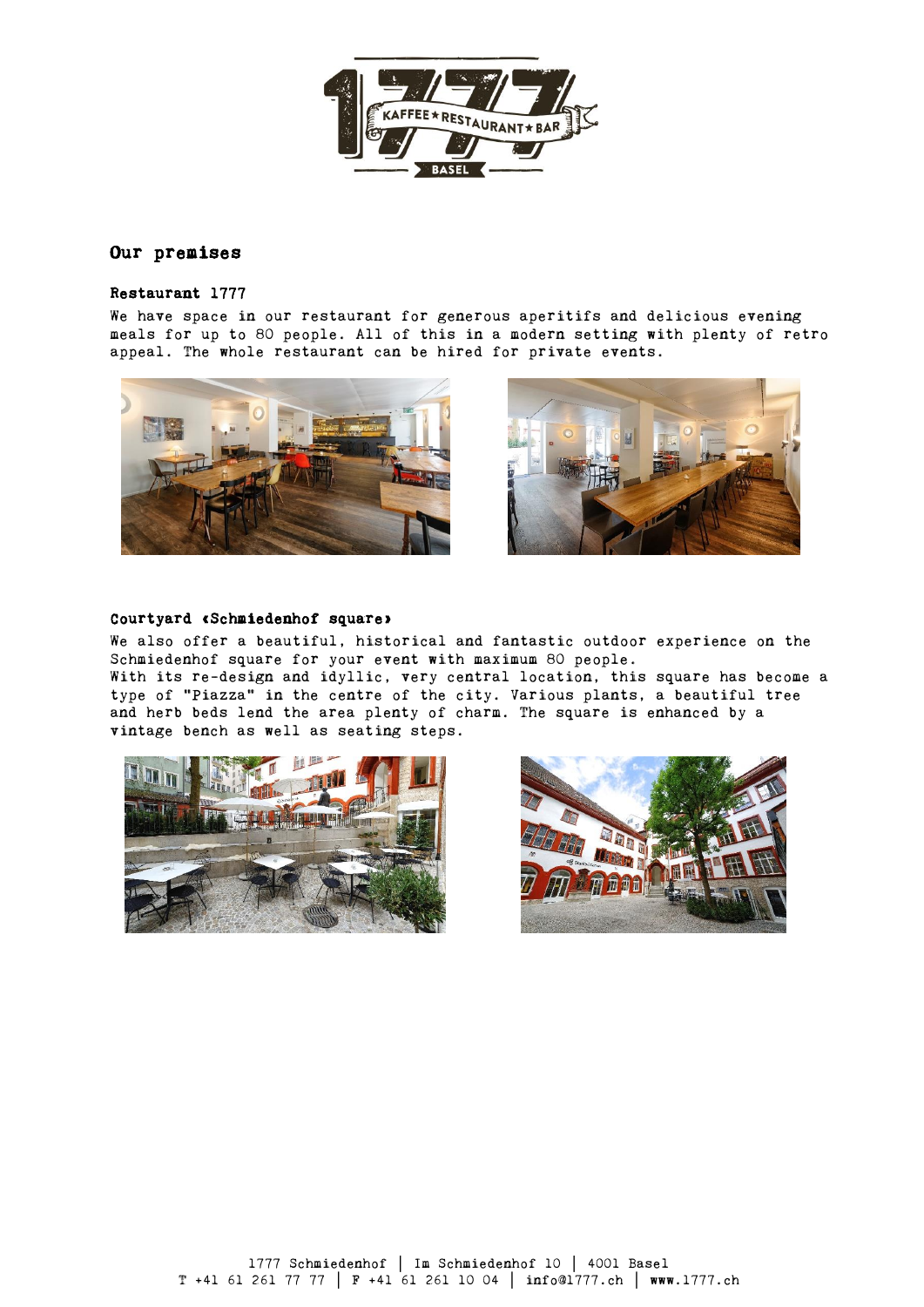

### Our premises

#### Restaurant 1777

 We have space in our restaurant for generous aperitifs and delicious evening meals for up to 80 people. All of this in a modern setting with plenty of retro appeal. The whole restaurant can be hired for private events.





#### Courtyard «Schmiedenhof square»

 We also offer a beautiful, historical and fantastic outdoor experience on the Schmiedenhof square for your event with maximum 80 people. With its re-design and idyllic, very central location, this square has become a type of "Piazza" in the centre of the city. Various plants, a beautiful tree and herb beds lend the area plenty of charm. The square is enhanced by a vintage bench as well as seating steps.



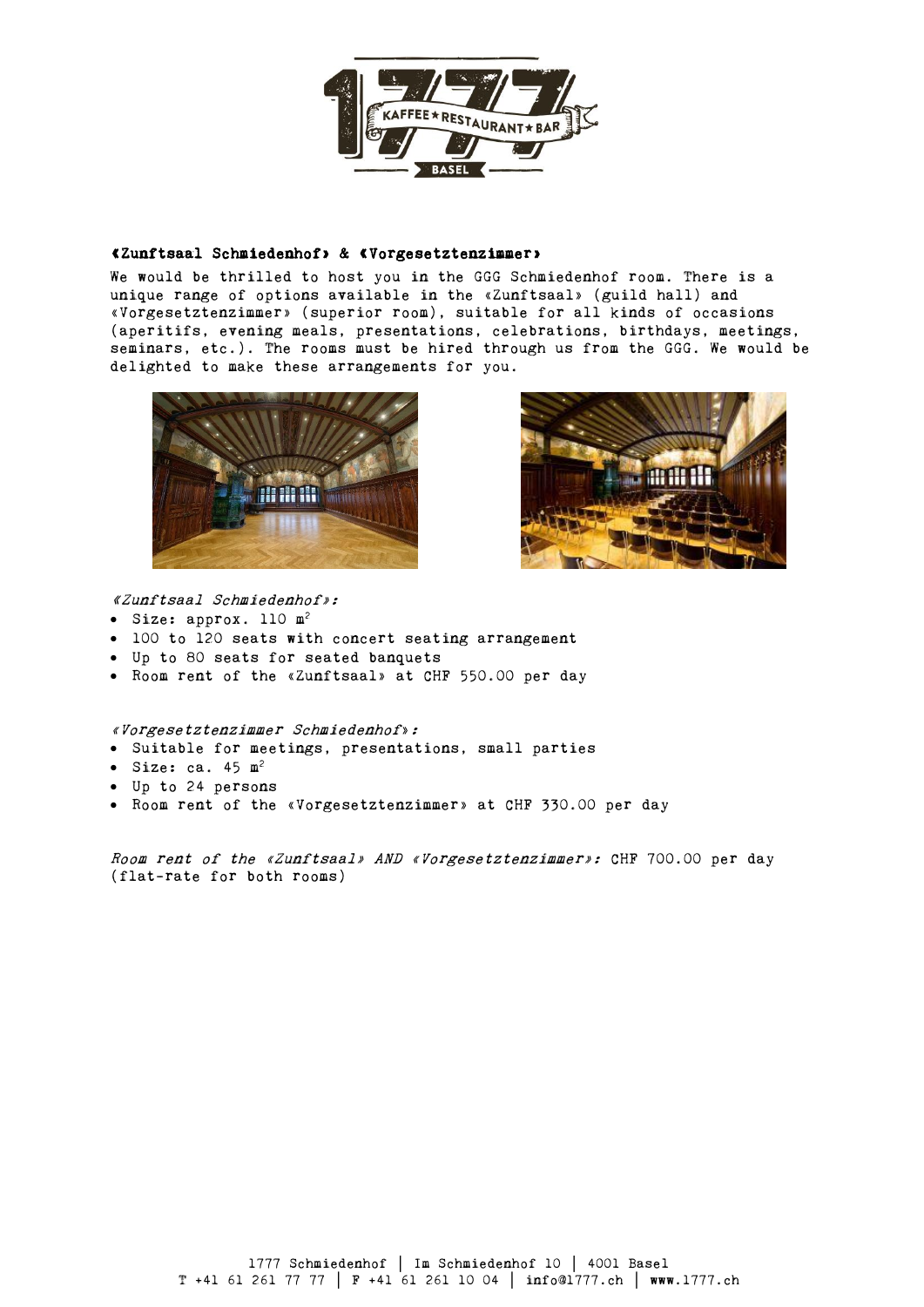

#### «Zunftsaal Schmiedenhof» & «Vorgesetztenzimmer»

 We would be thrilled to host you in the GGG Schmiedenhof room. There is a unique range of options available in the «Zunftsaal» (guild hall) and «Vorgesetztenzimmer» (superior room), suitable for all kinds of occasions (aperitifs, evening meals, presentations, celebrations, birthdays, meetings, seminars, etc.). The rooms must be hired through us from the GGG. We would be delighted to make these arrangements for you.





«Zunftsaal Schmiedenhof»:

- Size: approx. 110 m<sup>2</sup>
- 100 to 120 seats with concert seating arrangement
- Up to 80 seats for seated banquets
- Room rent of the «Zunftsaal» at CHF 550.00 per day

«Vorgesetztenzimmer Schmiedenhof»:

- Suitable for meetings, presentations, small parties
- $\bullet$  Size: ca. 45 m<sup>2</sup>
- Up to 24 persons
- Room rent of the «Vorgesetztenzimmer» at CHF 330.00 per day

Room rent of the «Zunftsaal» AND «Vorgesetztenzimmer»: CHF 700.00 per day (flat-rate for both rooms)